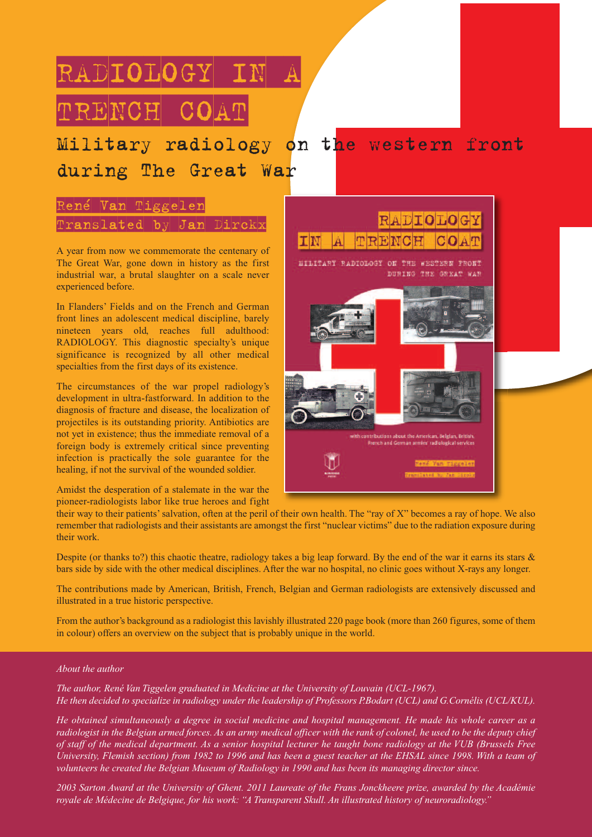# RADIOLOGY IN A TRENCH COAT

### Military radiology on the western front during The Great War

### René Van Tiggelen  $Prans1$ ated by Jan Dirck

A year from now we commemorate the centenary of The Great War, gone down in history as the first industrial war, a brutal slaughter on a scale never experienced before.

In Flanders' Fields and on the French and German front lines an adolescent medical discipline, barely nineteen years old, reaches full adulthood: RADIOLOGY. This diagnostic specialty's unique significance is recognized by all other medical specialties from the first days of its existence.

The circumstances of the war propel radiology's development in ultra-fastforward. In addition to the diagnosis of fracture and disease, the localization of projectiles is its outstanding priority. Antibiotics are not yet in existence; thus the immediate removal of a foreign body is extremely critical since preventing infection is practically the sole guarantee for the healing, if not the survival of the wounded soldier.

Amidst the desperation of a stalemate in the war the pioneer-radiologists labor like true heroes and fight



their way to their patients'salvation, often at the peril of their own health. The "ray of X" becomes a ray of hope. We also remember that radiologists and their assistants are amongst the first "nuclear victims" due to the radiation exposure during their work.

Despite (or thanks to?) this chaotic theatre, radiology takes a big leap forward. By the end of the war it earns its stars  $\&$ bars side by side with the other medical disciplines. After the war no hospital, no clinic goes without X-rays any longer.

The contributions made by American, British, French, Belgian and German radiologists are extensively discussed and illustrated in a true historic perspective.

From the author's background as a radiologist this lavishly illustrated 220 page book (more than 260 figures, some of them in colour) offers an overview on the subject that is probably unique in the world.

#### *About the author*

*The author, René Van Tiggelen graduated in Medicine at the University of Louvain (UCL-1967).* He then decided to specialize in radiology under the leadership of Professors P.Bodart (UCL) and G.Cornélis (UCL/KUL).

He obtained simultaneously a degree in social medicine and hospital management. He made his whole career as a radiologist in the Belgian armed forces. As an army medical officer with the rank of colonel, he used to be the deputy chief of staff of the medical department. As a senior hospital lecturer he taught bone radiology at the VUB (Brussels Free University, Flemish section) from 1982 to 1996 and has been a guest teacher at the EHSAL since 1998. With a team of *volunteers he created the Belgian Museum of Radiology in 1990 and has been its managing director since.*

2003 Sarton Award at the University of Ghent. 2011 Laureate of the Frans Jonckheere prize, awarded by the Académie *royale de Médecine de Belgique, for his work: "A Transparent Skull. An illustrated history of neuroradiology."*